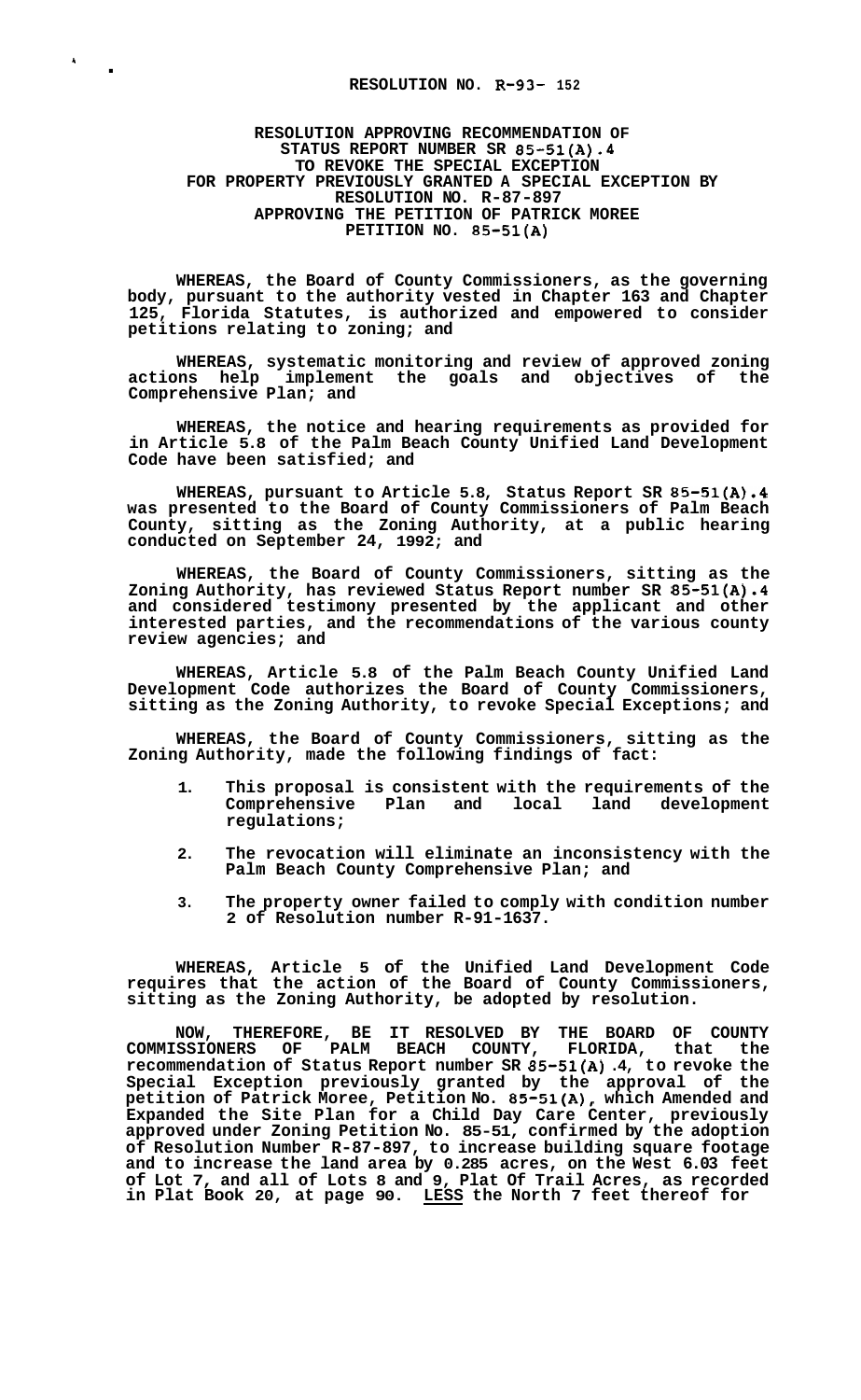## . **RESOLUTION NO. R-93- 152**

**1** 

## **RESOLUTION APPROVING RECOMMENDATION OF STATUS REPORT NUMBER SR 85-51(A).4 TO REVOKE THE SPECIAL EXCEPTION RESOLUTION NO. R-87-897 APPROVING THE PETITION OF PATRICK MOREE PETITION NO. 85-51(A) FOR PROPERTY PREVIOUSLY GRANTED A SPECIAL EXCEPTION BY**

**WHEREAS, the Board of County Commissioners, as the governing body, pursuant to the authority vested in Chapter 163 and Chapter 125, Florida Statutes, is authorized and empowered to consider petitions relating to zoning; and** 

**WHEREAS, systematic monitoring and review of approved zoning actions help implement the goals and objectives of the Comprehensive Plan; and** 

**WHEREAS, the notice and hearing requirements as provided for in Article 5.8 of the Palm Beach County Unified Land Development Code have been satisfied; and** 

**WHEREAS, pursuant to Article 5.8, Status Report SR 85-51(A).4 was presented to the Board of County Commissioners of Palm Beach County, sitting as the Zoning Authority, at a public hearing conducted on September 24, 1992; and** 

**WHEREAS, the Board of County Commissioners, sitting as the Zoning Authority, has reviewed Status Report number SR 85-51(A).4 and considered testimony presented by the applicant and other interested parties, and the recommendations of the various county review agencies; and** 

**WHEREAS, Article 5.8 of the Palm Beach County Unified Land Development Code authorizes the Board of County Commissioners, sitting as the Zoning Authority, to revoke Special Exceptions; and** 

**WHEREAS, the Board of County Commissioners, sitting as the Zoning Authority, made the following findings of fact:** 

- **1. This proposal is consistent with the requirements of the**  Comprehensive Plan and **regulations;**
- **2. The revocation will eliminate an inconsistency with the Palm Beach County Comprehensive Plan; and**
- **3. The property owner failed to comply with condition number 2 of Resolution number R-91-1637.**

**WHEREAS, Article 5 of the Unified Land Development Code requires that the action of the Board of County Commissioners, sitting as the Zoning Authority, be adopted by resolution.** 

**NOW, THEREFORE, BE IT RESOLVED BY THE BOARD OF COUNTY COMMISSIONERS OF PALM BEACH COUNTY, FLORIDA, that the recommendation of Status Report number SR 85-51(A) .4, to revoke the Special Exception previously granted by the approval of the petition of Patrick Moree, Petition No. 85-51(A), which Amended and Expanded the Site Plan for a Child Day Care Center, previously approved under Zoning Petition No. 85-51, confirmed by the adoption of Resolution Number R-87-897, to increase building square footage and to increase the land area by 0.285 acres, on the West 6.03 feet of Lot 7, and all of Lots 8 and 9, Plat Of Trail Acres, as recorded in Plat Book 20, at page 90. LESS the North 7 feet thereof for**